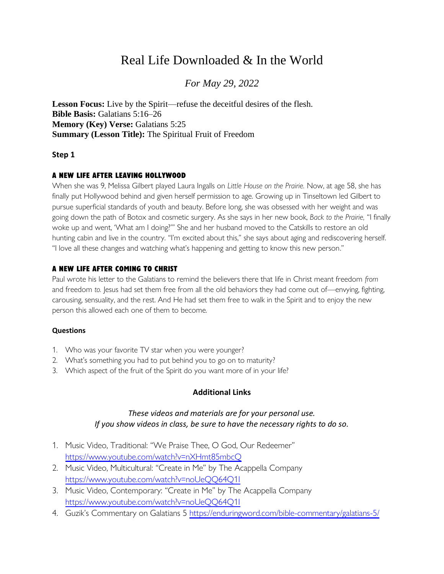# Real Life Downloaded & In the World

## *For May 29, 2022*

**Lesson Focus:** Live by the Spirit—refuse the deceitful desires of the flesh. **Bible Basis:** Galatians 5:16–26 **Memory (Key) Verse:** Galatians 5:25 **Summary (Lesson Title):** The Spiritual Fruit of Freedom

#### **Step 1**

#### A NEW LIFE AFTER LEAVING HOLLYWOOD

When she was 9, Melissa Gilbert played Laura Ingalls on *Little House on the Prairie.* Now, at age 58, she has finally put Hollywood behind and given herself permission to age. Growing up in Tinseltown led Gilbert to pursue superficial standards of youth and beauty. Before long, she was obsessed with her weight and was going down the path of Botox and cosmetic surgery. As she says in her new book, *Back to the Prairie,* "I finally woke up and went, 'What am I doing?'" She and her husband moved to the Catskills to restore an old hunting cabin and live in the country. "I'm excited about this," she says about aging and rediscovering herself. "I love all these changes and watching what's happening and getting to know this new person."

#### A NEW LIFE AFTER COMING TO CHRIST

Paul wrote his letter to the Galatians to remind the believers there that life in Christ meant freedom *from* and freedom *to.* Jesus had set them free from all the old behaviors they had come out of—envying, fighting, carousing, sensuality, and the rest. And He had set them free to walk in the Spirit and to enjoy the new person this allowed each one of them to become.

#### **Questions**

- 1. Who was your favorite TV star when you were younger?
- 2. What's something you had to put behind you to go on to maturity?
- 3. Which aspect of the fruit of the Spirit do you want more of in your life?

#### **Additional Links**

#### *These videos and materials are for your personal use. If you show videos in class, be sure to have the necessary rights to do so.*

- 1. Music Video, Traditional: "We Praise Thee, O God, Our Redeemer" <https://www.youtube.com/watch?v=nXHmt85mbcQ>
- 2. Music Video, Multicultural: "Create in Me" by The Acappella Company <https://www.youtube.com/watch?v=noUeQQ64Q1I>
- 3. Music Video, Contemporary: "Create in Me" by The Acappella Company <https://www.youtube.com/watch?v=noUeQQ64Q1I>
- 4. Guzik's Commentary on Galatians 5<https://enduringword.com/bible-commentary/galatians-5/>